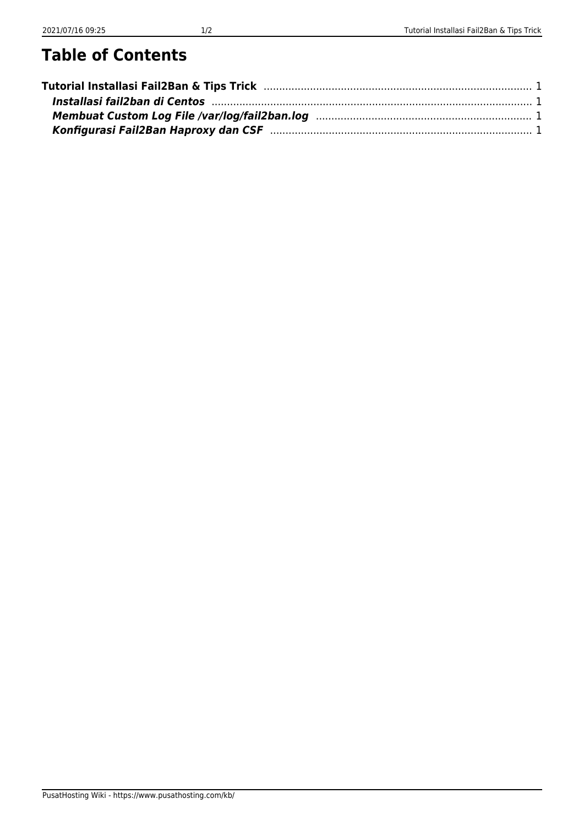#### **Table of Contents**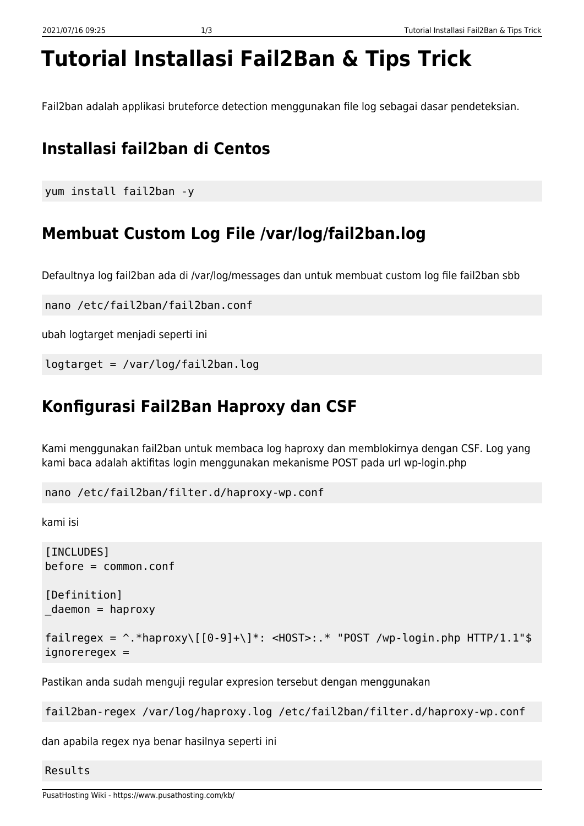# <span id="page-2-0"></span>**Tutorial Installasi Fail2Ban & Tips Trick**

Fail2ban adalah applikasi bruteforce detection menggunakan file log sebagai dasar pendeteksian.

## <span id="page-2-1"></span>**Installasi fail2ban di Centos**

```
yum install fail2ban -y
```
### <span id="page-2-2"></span>**Membuat Custom Log File /var/log/fail2ban.log**

Defaultnya log fail2ban ada di /var/log/messages dan untuk membuat custom log file fail2ban sbb

```
nano /etc/fail2ban/fail2ban.conf
```
ubah logtarget menjadi seperti ini

logtarget = /var/log/fail2ban.log

### <span id="page-2-3"></span>**Konfigurasi Fail2Ban Haproxy dan CSF**

Kami menggunakan fail2ban untuk membaca log haproxy dan memblokirnya dengan CSF. Log yang kami baca adalah aktifitas login menggunakan mekanisme POST pada url wp-login.php

nano /etc/fail2ban/filter.d/haproxy-wp.conf

kami isi

```
[INCLUDES]
before = common.conf
[Definition]
_daemon = haproxy
fail regex = \hat{\ }.*haproxy\[[0-9]+\]*: <HOST>:.* "POST /wp-login.php HTTP/1.1"$
ignoreregex =
```
Pastikan anda sudah menguji regular expresion tersebut dengan menggunakan

fail2ban-regex /var/log/haproxy.log /etc/fail2ban/filter.d/haproxy-wp.conf

dan apabila regex nya benar hasilnya seperti ini

Results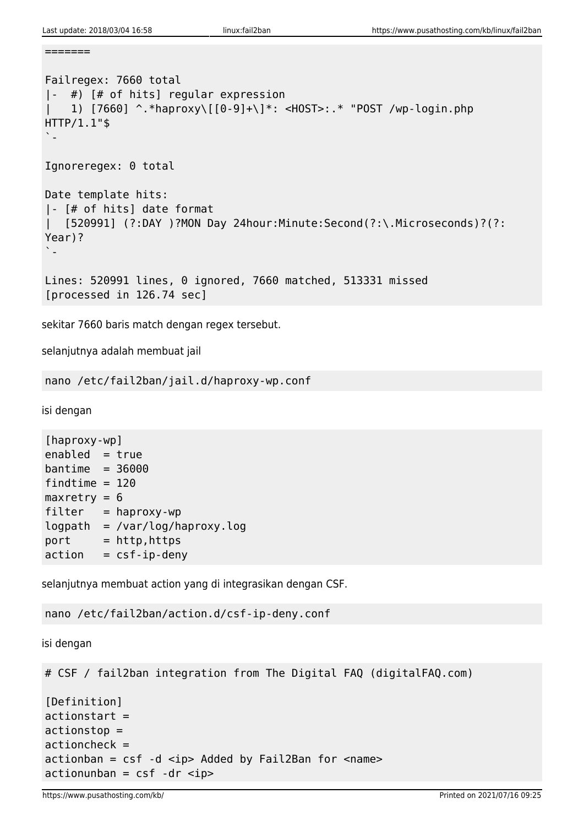```
=======
```

```
Failregex: 7660 total
|- #) [# of hits] regular expression
| 1) [7660] ^.*haproxy\[[0-9]+\]*: <HOST>:.* "POST /wp-login.php
HTTP/1.1"$
`-
Ignoreregex: 0 total
Date template hits:
|- [# of hits] date format
| [520991] (?:DAY )?MON Day 24hour:Minute:Second(?:\.Microseconds)?(?:
Year)?
\sum_{i=1}^{\infty}Lines: 520991 lines, 0 ignored, 7660 matched, 513331 missed
[processed in 126.74 sec]
```
sekitar 7660 baris match dengan regex tersebut.

selanjutnya adalah membuat jail

nano /etc/fail2ban/jail.d/haproxy-wp.conf

isi dengan

[haproxy-wp]  $enabled = true$  $bantime = 36000$ findtime  $= 120$  $maxretry = 6$  $filter = haproxy-wp$ logpath = /var/log/haproxy.log port = http,https  $\text{action} = \text{csf-ip-denv}$ 

selanjutnya membuat action yang di integrasikan dengan CSF.

nano /etc/fail2ban/action.d/csf-ip-deny.conf

isi dengan

```
# CSF / fail2ban integration from The Digital FAQ (digitalFAQ.com)
[Definition]
actions<sub>tr</sub> =actionstop =
actioncheck =
actionban = csf -d <ip> Added by Fail2Ban for <i>name</i>
```
 $\text{actionunban} = \text{csf} - \text{dr} \leq \text{ip}$